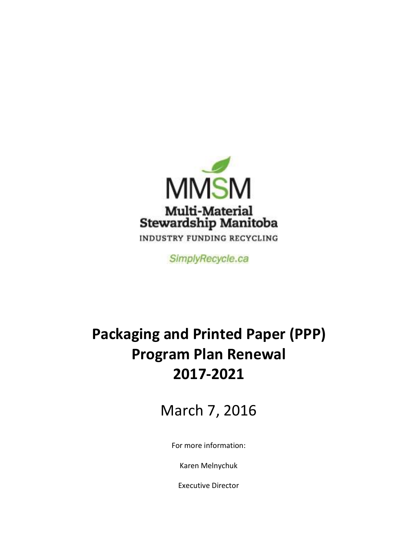

SimplyRecycle.ca

# **Packaging and Printed Paper (PPP) Program Plan Renewal 2017-2021**

March 7, 2016

For more information:

Karen Melnychuk

Executive Director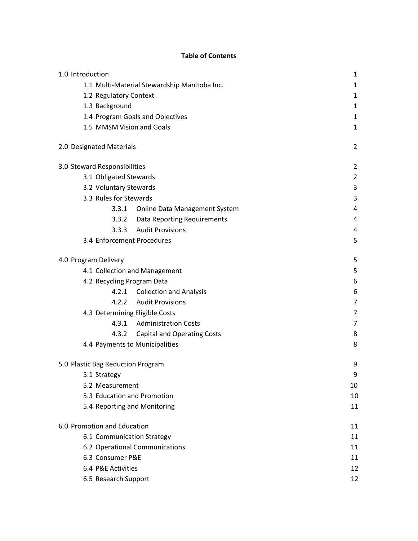#### **Table of Contents**

| 1.0 Introduction                              | 1              |  |  |  |
|-----------------------------------------------|----------------|--|--|--|
| 1.1 Multi-Material Stewardship Manitoba Inc.  | $\mathbf{1}$   |  |  |  |
| 1.2 Regulatory Context                        | $\mathbf{1}$   |  |  |  |
| 1.3 Background                                | 1              |  |  |  |
| 1.4 Program Goals and Objectives              | $\mathbf{1}$   |  |  |  |
| 1.5 MMSM Vision and Goals                     | $\mathbf{1}$   |  |  |  |
| 2.0 Designated Materials                      | 2              |  |  |  |
| 3.0 Steward Responsibilities                  | $\overline{2}$ |  |  |  |
| 3.1 Obligated Stewards                        | $\overline{2}$ |  |  |  |
| 3.2 Voluntary Stewards                        | 3              |  |  |  |
| 3.3 Rules for Stewards                        | 3              |  |  |  |
| 3.3.1<br><b>Online Data Management System</b> | 4              |  |  |  |
| 3.3.2<br>Data Reporting Requirements          | 4              |  |  |  |
| <b>Audit Provisions</b><br>3.3.3              | 4              |  |  |  |
| 3.4 Enforcement Procedures                    | 5              |  |  |  |
| 4.0 Program Delivery                          | 5              |  |  |  |
| 4.1 Collection and Management                 | 5              |  |  |  |
| 4.2 Recycling Program Data                    | 6              |  |  |  |
| <b>Collection and Analysis</b><br>4.2.1       | 6              |  |  |  |
| 4.2.2 Audit Provisions                        | 7              |  |  |  |
| 4.3 Determining Eligible Costs                | 7              |  |  |  |
| <b>Administration Costs</b><br>4.3.1          | 7              |  |  |  |
| <b>Capital and Operating Costs</b><br>4.3.2   | 8              |  |  |  |
| 4.4 Payments to Municipalities                | 8              |  |  |  |
| 5.0 Plastic Bag Reduction Program             | 9              |  |  |  |
| 5.1 Strategy                                  | 9              |  |  |  |
| 5.2 Measurement                               | 10             |  |  |  |
| 5.3 Education and Promotion                   | 10             |  |  |  |
| 5.4 Reporting and Monitoring                  | 11             |  |  |  |
| 6.0 Promotion and Education                   | 11             |  |  |  |
| 6.1 Communication Strategy                    |                |  |  |  |
| 6.2 Operational Communications                |                |  |  |  |
| 6.3 Consumer P&E                              | 11             |  |  |  |
| 6.4 P&E Activities                            | 12             |  |  |  |
| 6.5 Research Support                          | 12             |  |  |  |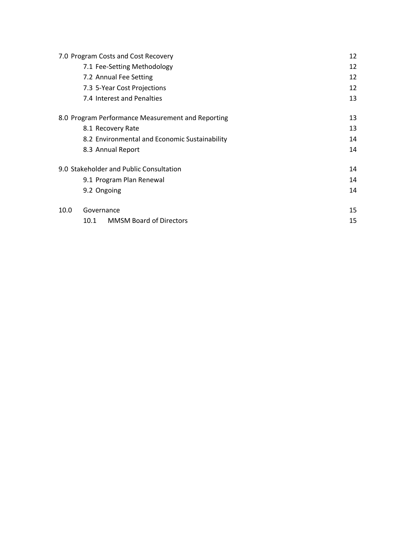| 7.0 Program Costs and Cost Recovery               |                          |                                               |    |  |  |
|---------------------------------------------------|--------------------------|-----------------------------------------------|----|--|--|
|                                                   |                          | 7.1 Fee-Setting Methodology                   | 12 |  |  |
|                                                   |                          | 7.2 Annual Fee Setting                        | 12 |  |  |
|                                                   |                          | 7.3 5-Year Cost Projections                   | 12 |  |  |
|                                                   |                          | 7.4 Interest and Penalties                    | 13 |  |  |
| 8.0 Program Performance Measurement and Reporting | 13                       |                                               |    |  |  |
|                                                   |                          | 8.1 Recovery Rate                             | 13 |  |  |
|                                                   |                          | 8.2 Environmental and Economic Sustainability | 14 |  |  |
|                                                   |                          | 8.3 Annual Report                             | 14 |  |  |
|                                                   |                          | 9.0 Stakeholder and Public Consultation       | 14 |  |  |
|                                                   | 9.1 Program Plan Renewal |                                               |    |  |  |
|                                                   | 9.2 Ongoing              |                                               | 14 |  |  |
| 10.0                                              | Governance               | 15                                            |    |  |  |
|                                                   | 10.1                     | <b>MMSM Board of Directors</b>                | 15 |  |  |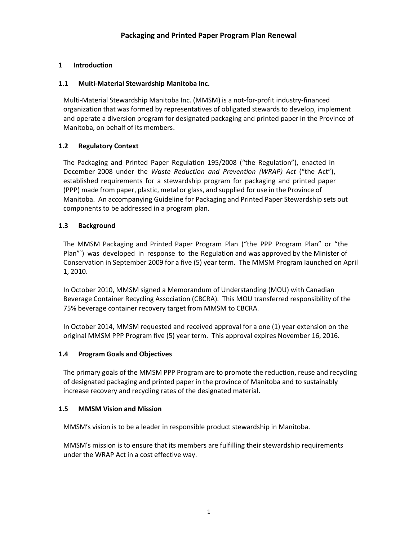## **1 Introduction**

### **1.1 Multi-Material Stewardship Manitoba Inc.**

Multi-Material Stewardship Manitoba Inc. (MMSM) is a not-for-profit industry-financed organization that was formed by representatives of obligated stewards to develop, implement and operate a diversion program for designated packaging and printed paper in the Province of Manitoba, on behalf of its members.

## **1.2 Regulatory Context**

The Packaging and Printed Paper Regulation 195/2008 ("the Regulation"), enacted in December 2008 under the *Waste Reduction and Prevention (WRAP) Act* ("the Act"), established requirements for a stewardship program for packaging and printed paper (PPP) made from paper, plastic, metal or glass, and supplied for use in the Province of Manitoba. An accompanying Guideline for Packaging and Printed Paper Stewardship sets out components to be addressed in a program plan.

## **1.3 Background**

The MMSM Packaging and Printed Paper Program Plan ("the PPP Program Plan" or "the Plan"`) was developed in response to the Regulation and was approved by the Minister of Conservation in September 2009 for a five (5) year term. The MMSM Program launched on April 1, 2010.

In October 2010, MMSM signed a Memorandum of Understanding (MOU) with Canadian Beverage Container Recycling Association (CBCRA). This MOU transferred responsibility of the 75% beverage container recovery target from MMSM to CBCRA.

In October 2014, MMSM requested and received approval for a one (1) year extension on the original MMSM PPP Program five (5) year term. This approval expires November 16, 2016.

### **1.4 Program Goals and Objectives**

The primary goals of the MMSM PPP Program are to promote the reduction, reuse and recycling of designated packaging and printed paper in the province of Manitoba and to sustainably increase recovery and recycling rates of the designated material.

#### **1.5 MMSM Vision and Mission**

MMSM's vision is to be a leader in responsible product stewardship in Manitoba.

MMSM's mission is to ensure that its members are fulfilling their stewardship requirements under the WRAP Act in a cost effective way.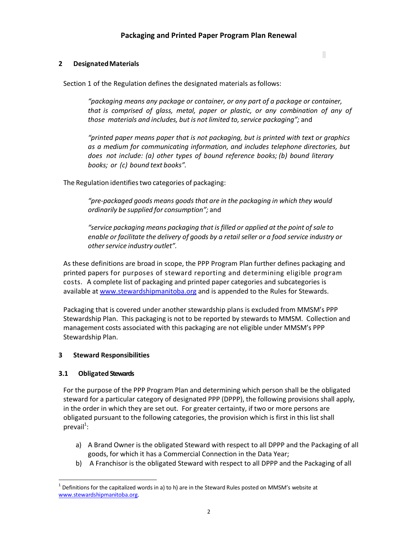#### **2 DesignatedMaterials**

Section 1 of the Regulation defines the designated materials as follows:

*"packaging means any package or container, or any part of a package or container, that is comprised of glass, metal, paper or plastic, or any combination of any of those materials and includes, but is not limited to,service packaging";* and

П

*"printed paper means paper that is not packaging, but is printed with text or graphics as a medium for communicating information, and includes telephone directories, but does not include: (a) other types of bound reference books; (b) bound literary books; or (c) bound text books".*

The Regulation identifies two categories of packaging:

*"pre-packaged goods means goods that are in the packaging in which they would ordinarily be supplied for consumption";* and

*"service packaging means packaging that is filled or applied at the point of sale to enable or facilitate the delivery of goods by a retail seller or a food service industry or otherservice industry outlet".*

As these definitions are broad in scope, the PPP Program Plan further defines packaging and printed papers for purposes of steward reporting and determining eligible program costs. A complete list of packaging and printed paper categories and subcategories is available at www.stewardshipmanitoba.org and is appended to the Rules for Stewards.

Packaging that is covered under another stewardship plans is excluded from MMSM's PPP Stewardship Plan. This packaging is not to be reported by stewards to MMSM. Collection and management costs associated with this packaging are not eligible under MMSM's PPP Stewardship Plan.

#### **3 Steward Responsibilities**

#### **3.1 Obligated Stewards**

For the purpose of the PPP Program Plan and determining which person shall be the obligated steward for a particular category of designated PPP (DPPP), the following provisions shall apply, in the order in which they are set out. For greater certainty, if two or more persons are obligated pursuant to the following categories, the provision which is first in this list shall  $prevail^1$ :

- a) A Brand Owner is the obligated Steward with respect to all DPPP and the Packaging of all goods, for which it has a Commercial Connection in the Data Year;
- b) A Franchisor is the obligated Steward with respect to all DPPP and the Packaging of all

 $1$  Definitions for the capitalized words in a) to h) are in the Steward Rules posted on MMSM's website at www.stewardshipmanitoba.org.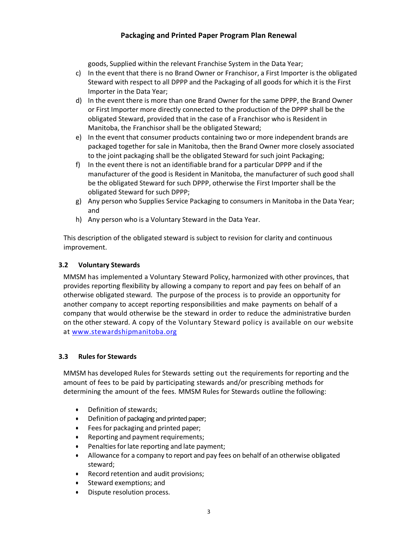goods, Supplied within the relevant Franchise System in the Data Year;

- c) In the event that there is no Brand Owner or Franchisor, a First Importer is the obligated Steward with respect to all DPPP and the Packaging of all goods for which it is the First Importer in the Data Year;
- d) In the event there is more than one Brand Owner for the same DPPP, the Brand Owner or First Importer more directly connected to the production of the DPPP shall be the obligated Steward, provided that in the case of a Franchisor who is Resident in Manitoba, the Franchisor shall be the obligated Steward;
- e) In the event that consumer products containing two or more independent brands are packaged together for sale in Manitoba, then the Brand Owner more closely associated to the joint packaging shall be the obligated Steward for such joint Packaging;
- f) In the event there is not an identifiable brand for a particular DPPP and if the manufacturer of the good is Resident in Manitoba, the manufacturer of such good shall be the obligated Steward for such DPPP, otherwise the First Importer shall be the obligated Steward for such DPPP;
- g) Any person who Supplies Service Packaging to consumers in Manitoba in the Data Year; and
- h) Any person who is a Voluntary Steward in the Data Year.

This description of the obligated steward is subject to revision for clarity and continuous improvement.

## **3.2 Voluntary Stewards**

MMSM has implemented a Voluntary Steward Policy, harmonized with other provinces, that provides reporting flexibility by allowing a company to report and pay fees on behalf of an otherwise obligated steward. The purpose of the process is to provide an opportunity for another company to accept reporting responsibilities and make payments on behalf of a company that would otherwise be the steward in order to reduce the administrative burden on the other steward. A copy of the Voluntary Steward policy is available on our website at www.stewardshipmanitoba.org

#### **3.3 Rules for Stewards**

MMSM has developed Rules for Stewards setting out the requirements for reporting and the amount of fees to be paid by participating stewards and/or prescribing methods for determining the amount of the fees. MMSM Rules for Stewards outline the following:

- · Definition of stewards;
- · Definition of packaging and printed paper;
- · Feesfor packaging and printed paper;
- · Reporting and payment requirements;
- Penalties for late reporting and late payment;
- · Allowance for a company to report and pay fees on behalf of an otherwise obligated steward;
- Record retention and audit provisions;
- Steward exemptions; and
- · Dispute resolution process.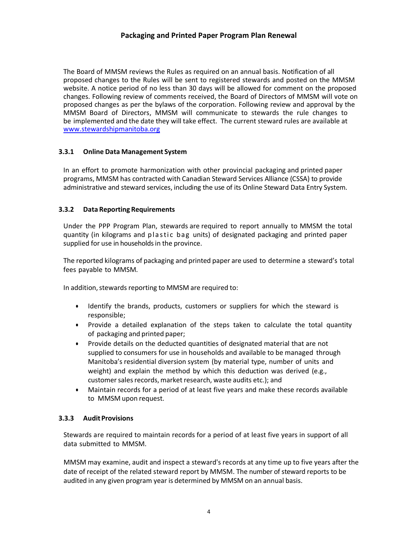The Board of MMSM reviews the Rules as required on an annual basis. Notification of all proposed changes to the Rules will be sent to registered stewards and posted on the MMSM website. A notice period of no less than 30 days will be allowed for comment on the proposed changes. Following review of comments received, the Board of Directors of MMSM will vote on proposed changes as per the bylaws of the corporation. Following review and approval by the MMSM Board of Directors, MMSM will communicate to stewards the rule changes to be implemented and the date they will take effect. The current steward rules are available at www.stewardshipmanitoba.org

#### **3.3.1 Online Data Management System**

In an effort to promote harmonization with other provincial packaging and printed paper programs, MMSM has contracted with Canadian Steward Services Alliance (CSSA) to provide administrative and steward services, including the use of its Online Steward Data Entry System.

#### **3.3.2 Data Reporting Requirements**

Under the PPP Program Plan, stewards are required to report annually to MMSM the total quantity (in kilograms and plastic bag units) of designated packaging and printed paper supplied for use in households in the province.

The reported kilograms of packaging and printed paper are used to determine a steward's total fees payable to MMSM.

In addition, stewards reporting to MMSM are required to:

- · Identify the brands, products, customers or suppliers for which the steward is responsible;
- · Provide a detailed explanation of the steps taken to calculate the total quantity of packaging and printed paper;
- · Provide details on the deducted quantities of designated material that are not supplied to consumers for use in households and available to be managed through Manitoba's residential diversion system (by material type, number of units and weight) and explain the method by which this deduction was derived (e.g., customer sales records, market research, waste audits etc.); and
- · Maintain records for a period of at least five years and make these records available to MMSM upon request.

#### **3.3.3 AuditProvisions**

Stewards are required to maintain records for a period of at least five years in support of all data submitted to MMSM.

MMSM may examine, audit and inspect a steward's records at any time up to five years after the date of receipt of the related steward report by MMSM. The number of steward reports to be audited in any given program year is determined by MMSM on an annual basis.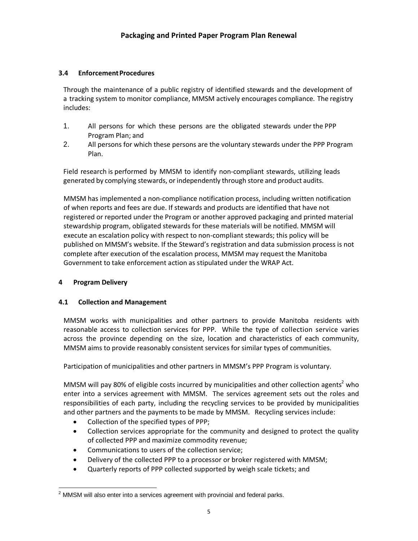## **3.4 EnforcementProcedures**

Through the maintenance of a public registry of identified stewards and the development of a tracking system to monitor compliance, MMSM actively encourages compliance. The registry includes:

- 1. All persons for which these persons are the obligated stewards under the PPP Program Plan; and
- 2. All persons for which these persons are the voluntary stewards under the PPP Program Plan.

Field research is performed by MMSM to identify non-compliant stewards, utilizing leads generated by complying stewards, orindependently through store and product audits.

MMSM has implemented a non-compliance notification process, including written notification of when reports and fees are due. If stewards and products are identified that have not registered or reported under the Program or another approved packaging and printed material stewardship program, obligated stewards for these materials will be notified. MMSM will execute an escalation policy with respect to non-compliant stewards; this policy will be published on MMSM's website. If the Steward's registration and data submission process is not complete after execution of the escalation process, MMSM may request the Manitoba Government to take enforcement action as stipulated under the WRAP Act.

#### **4 Program Delivery**

#### **4.1 Collection and Management**

MMSM works with municipalities and other partners to provide Manitoba residents with reasonable access to collection services for PPP. While the type of collection service varies across the province depending on the size, location and characteristics of each community, MMSM aims to provide reasonably consistent services for similar types of communities.

Participation of municipalities and other partners in MMSM's PPP Program is voluntary.

MMSM will pay 80% of eligible costs incurred by municipalities and other collection agents<sup>2</sup> who enter into a services agreement with MMSM. The services agreement sets out the roles and responsibilities of each party, including the recycling services to be provided by municipalities and other partners and the payments to be made by MMSM. Recycling services include:

- · Collection of the specified types of PPP;
- Collection services appropriate for the community and designed to protect the quality of collected PPP and maximize commodity revenue;
- · Communications to users of the collection service;
- · Delivery of the collected PPP to a processor or broker registered with MMSM;
- Quarterly reports of PPP collected supported by weigh scale tickets; and

 $2$  MMSM will also enter into a services agreement with provincial and federal parks.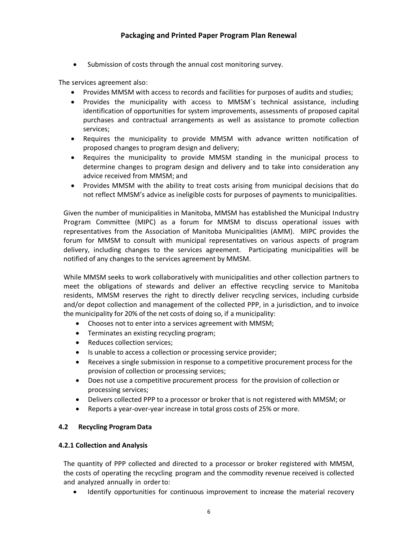Submission of costs through the annual cost monitoring survey.

The services agreement also:

- · Provides MMSM with access to records and facilities for purposes of audits and studies;
- · Provides the municipality with access to MMSM`s technical assistance, including identification of opportunities for system improvements, assessments of proposed capital purchases and contractual arrangements as well as assistance to promote collection services;
- · Requires the municipality to provide MMSM with advance written notification of proposed changes to program design and delivery;
- · Requires the municipality to provide MMSM standing in the municipal process to determine changes to program design and delivery and to take into consideration any advice received from MMSM; and
- · Provides MMSM with the ability to treat costs arising from municipal decisions that do not reflect MMSM's advice as ineligible costs for purposes of payments to municipalities.

Given the number of municipalities in Manitoba, MMSM has established the Municipal Industry Program Committee (MIPC) as a forum for MMSM to discuss operational issues with representatives from the Association of Manitoba Municipalities (AMM). MIPC provides the forum for MMSM to consult with municipal representatives on various aspects of program delivery, including changes to the services agreement. Participating municipalities will be notified of any changes to the services agreement by MMSM.

While MMSM seeks to work collaboratively with municipalities and other collection partners to meet the obligations of stewards and deliver an effective recycling service to Manitoba residents, MMSM reserves the right to directly deliver recycling services, including curbside and/or depot collection and management of the collected PPP, in a jurisdiction, and to invoice the municipality for 20% of the net costs of doing so, if a municipality:

- · Chooses not to enter into a services agreement with MMSM;
- · Terminates an existing recycling program;
- Reduces collection services;
- · Is unable to access a collection or processing service provider;
- · Receives a single submission in response to a competitive procurement process for the provision of collection or processing services;
- · Does not use a competitive procurement process for the provision of collection or processing services;
- · Delivers collected PPP to a processor or broker that is not registered with MMSM; or
- Reports a year-over-year increase in total gross costs of 25% or more.

#### **4.2 Recycling Program Data**

#### **4.2.1 Collection and Analysis**

The quantity of PPP collected and directed to a processor or broker registered with MMSM, the costs of operating the recycling program and the commodity revenue received is collected and analyzed annually in orderto:

Identify opportunities for continuous improvement to increase the material recovery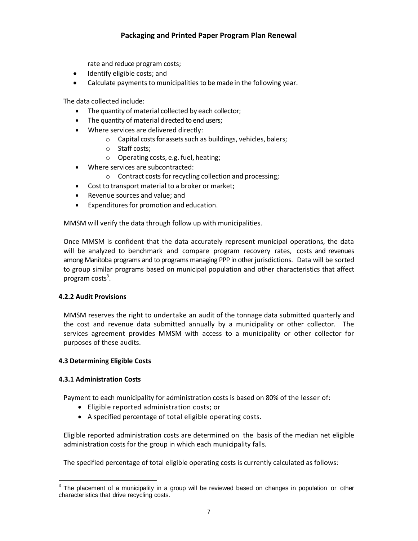rate and reduce program costs;

- · Identify eligible costs; and
- · Calculate payments to municipalities to be made in the following year.

The data collected include:

- · The quantity of material collected by each collector;
- · The quantity of material directed to end users;
- · Where services are delivered directly:
	- o Capital costs for assets such as buildings, vehicles, balers;
	- o Staff costs;
	- o Operating costs, e.g. fuel, heating;
- · Where services are subcontracted:
	- o Contract costs forrecycling collection and processing;
- · Cost to transport material to a broker or market;
- Revenue sources and value; and
- · Expendituresfor promotion and education.

MMSM will verify the data through follow up with municipalities.

Once MMSM is confident that the data accurately represent municipal operations, the data will be analyzed to benchmark and compare program recovery rates, costs and revenues among Manitoba programs and to programs managing PPP in other jurisdictions. Data will be sorted to group similar programs based on municipal population and other characteristics that affect program costs<sup>3</sup>.

#### **4.2.2 Audit Provisions**

MMSM reserves the right to undertake an audit of the tonnage data submitted quarterly and the cost and revenue data submitted annually by a municipality or other collector. The services agreement provides MMSM with access to a municipality or other collector for purposes of these audits.

#### **4.3 Determining Eligible Costs**

#### **4.3.1 Administration Costs**

Payment to each municipality for administration costs is based on 80% of the lesser of:

- · Eligible reported administration costs; or
- · A specified percentage of total eligible operating costs.

Eligible reported administration costs are determined on the basis of the median net eligible administration costs for the group in which each municipality falls.

The specified percentage of total eligible operating costs is currently calculated as follows:

 $3$  The placement of a municipality in a group will be reviewed based on changes in population or other characteristics that drive recycling costs.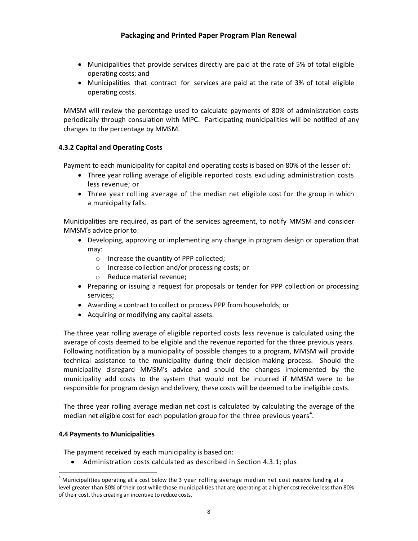- · Municipalities that provide services directly are paid at the rate of 5% of total eligible operating costs; and
- · Municipalities that contract for services are paid at the rate of 3% of total eligible operating costs.

MMSM will review the percentage used to calculate payments of 80% of administration costs periodically through consulation with MIPC. Participating municipalities will be notified of any changes to the percentage by MMSM.

## **4.3.2 Capital and Operating Costs**

Payment to each municipality for capital and operating costs is based on 80% of the lesser of:

- · Three year rolling average of eligible reported costs excluding administration costs less revenue; or
- · Three year rolling average of the median net eligible cost for the group in which a municipality falls.

Municipalities are required, as part of the services agreement, to notify MMSM and consider MMSM's advice prior to:

- · Developing, approving or implementing any change in program design or operation that may:
	- o Increase the quantity of PPP collected;
	- o Increase collection and/or processing costs; or
	- o Reduce material revenue;
- · Preparing or issuing a request for proposals or tender for PPP collection or processing services;
- · Awarding a contract to collect or process PPP from households; or
- · Acquiring or modifying any capital assets.

The three year rolling average of eligible reported costs less revenue is calculated using the average of costs deemed to be eligible and the revenue reported for the three previous years. Following notification by a municipality of possible changes to a program, MMSM will provide technical assistance to the municipality during their decision-making process. Should the municipality disregard MMSM's advice and should the changes implemented by the municipality add costs to the system that would not be incurred if MMSM were to be responsible for program design and delivery, these costs will be deemed to be ineligible costs.

The three year rolling average median net cost is calculated by calculating the average of the median net eligible cost for each population group for the three previous years<sup>4</sup>.

#### **4.4 Payments to Municipalities**

The payment received by each municipality is based on:

Administration costs calculated as described in Section 4.3.1; plus

<sup>&</sup>lt;sup>4</sup> Municipalities operating at a cost below the 3 year rolling average median net cost receive funding at a level greater than 80% of their cost while those municipalities that are operating at a higher cost receive less than 80% of their cost, thus creating an incentive to reduce costs.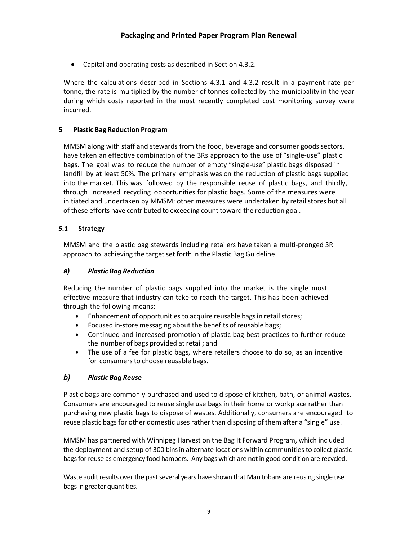· Capital and operating costs as described in Section 4.3.2.

Where the calculations described in Sections 4.3.1 and 4.3.2 result in a payment rate per tonne, the rate is multiplied by the number of tonnes collected by the municipality in the year during which costs reported in the most recently completed cost monitoring survey were incurred.

### **5 Plastic Bag Reduction Program**

MMSM along with staff and stewards from the food, beverage and consumer goods sectors, have taken an effective combination of the 3Rs approach to the use of "single-use" plastic bags. The goal was to reduce the number of empty "single-use" plastic bags disposed in landfill by at least 50%. The primary emphasis was on the reduction of plastic bags supplied into the market. This was followed by the responsible reuse of plastic bags, and thirdly, through increased recycling opportunities for plastic bags. Some of the measures were initiated and undertaken by MMSM; other measures were undertaken by retail stores but all of these efforts have contributed to exceeding count toward the reduction goal.

## *5.1* **Strategy**

MMSM and the plastic bag stewards including retailers have taken a multi-pronged 3R approach to achieving the target set forth in the Plastic Bag Guideline.

### *a) Plastic Bag Reduction*

Reducing the number of plastic bags supplied into the market is the single most effective measure that industry can take to reach the target. This has been achieved through the following means:

- Enhancement of opportunities to acquire reusable bags in retail stores;
- · Focused in-store messaging about the benefits of reusable bags;
- · Continued and increased promotion of plastic bag best practices to further reduce the number of bags provided at retail; and
- · The use of a fee for plastic bags, where retailers choose to do so, as an incentive for consumers to choose reusable bags.

#### *b) Plastic Bag Reuse*

Plastic bags are commonly purchased and used to dispose of kitchen, bath, or animal wastes. Consumers are encouraged to reuse single use bags in their home or workplace rather than purchasing new plastic bags to dispose of wastes. Additionally, consumers are encouraged to reuse plastic bags for other domestic uses rather than disposing of them after a "single" use.

MMSM has partnered with Winnipeg Harvest on the Bag It Forward Program, which included the deployment and setup of 300 bins in alternate locations within communities to collect plastic bags for reuse as emergency food hampers. Any bags which are not in good condition are recycled.

Waste audit results over the past several years have shown that Manitobans are reusing single use bags in greater quantities.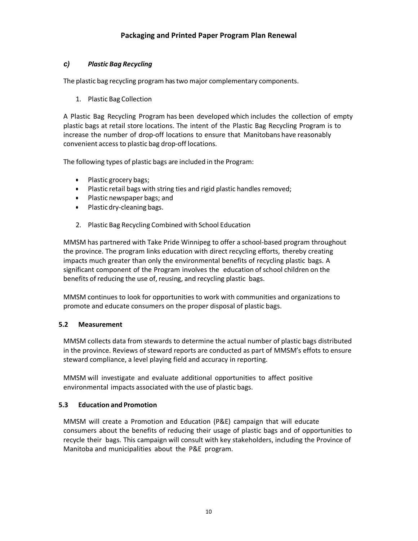# *c) Plastic Bag Recycling*

The plastic bag recycling program has two major complementary components.

1. Plastic Bag Collection

A Plastic Bag Recycling Program has been developed which includes the collection of empty plastic bags at retail store locations. The intent of the Plastic Bag Recycling Program is to increase the number of drop-off locations to ensure that Manitobans have reasonably convenient access to plastic bag drop-off locations.

The following types of plastic bags are included in the Program:

- · Plastic grocery bags;
- · Plastic retail bags with string ties and rigid plastic handles removed;
- · Plastic newspaper bags; and
- · Plastic dry-cleaning bags.
- 2. Plastic Bag Recycling Combined with School Education

MMSM has partnered with Take Pride Winnipeg to offer a school-based program throughout the province. The program links education with direct recycling efforts, thereby creating impacts much greater than only the environmental benefits of recycling plastic bags. A significant component of the Program involves the education of school children on the benefits of reducing the use of, reusing, and recycling plastic bags.

MMSM continues to look for opportunities to work with communities and organizations to promote and educate consumers on the proper disposal of plastic bags.

# **5.2 Measurement**

MMSM collects data from stewards to determine the actual number of plastic bags distributed in the province. Reviews of steward reports are conducted as part of MMSM's effots to ensure steward compliance, a level playing field and accuracy in reporting.

MMSM will investigate and evaluate additional opportunities to affect positive environmental impacts associated with the use of plastic bags.

# **5.3 Education and Promotion**

MMSM will create a Promotion and Education (P&E) campaign that will educate consumers about the benefits of reducing their usage of plastic bags and of opportunities to recycle their bags. This campaign will consult with key stakeholders, including the Province of Manitoba and municipalities about the P&E program.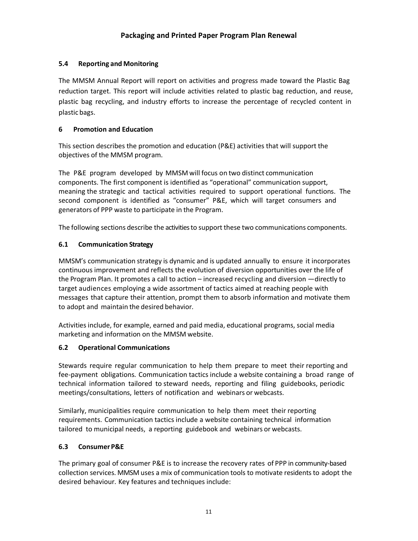# **5.4 Reporting and Monitoring**

The MMSM Annual Report will report on activities and progress made toward the Plastic Bag reduction target. This report will include activities related to plastic bag reduction, and reuse, plastic bag recycling, and industry efforts to increase the percentage of recycled content in plastic bags.

# **6 Promotion and Education**

This section describes the promotion and education (P&E) activities that will support the objectives of the MMSM program.

The P&E program developed by MMSM will focus on two distinct communication components. The first component is identified as "operational" communication support, meaning the strategic and tactical activities required to support operational functions. The second component is identified as "consumer" P&E, which will target consumers and generators of PPP waste to participate in the Program.

The following sections describe the activities to support these two communications components.

# **6.1 Communication Strategy**

MMSM's communication strategy is dynamic and is updated annually to ensure it incorporates continuous improvement and reflects the evolution of diversion opportunities over the life of the Program Plan. It promotes a call to action – increased recycling and diversion —directly to target audiences employing a wide assortment of tactics aimed at reaching people with messages that capture their attention, prompt them to absorb information and motivate them to adopt and maintain the desired behavior.

Activities include, for example, earned and paid media, educational programs, social media marketing and information on the MMSM website.

# **6.2 Operational Communications**

Stewards require regular communication to help them prepare to meet their reporting and fee-payment obligations. Communication tactics include a website containing a broad range of technical information tailored to steward needs, reporting and filing guidebooks, periodic meetings/consultations, letters of notification and webinars or webcasts.

Similarly, municipalities require communication to help them meet their reporting requirements. Communication tactics include a website containing technical information tailored to municipal needs, a reporting guidebook and webinars or webcasts.

# **6.3 Consumer P&E**

The primary goal of consumer P&E is to increase the recovery rates of PPP in community-based collection services. MMSM uses a mix of communication tools to motivate residents to adopt the desired behaviour. Key features and techniques include: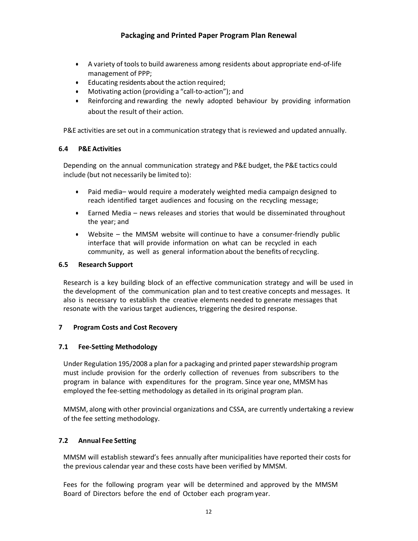- · A variety of tools to build awareness among residents about appropriate end-of-life management of PPP;
- · Educating residents about the action required;
- · Motivating action (providing a "call-to-action"); and
- Reinforcing and rewarding the newly adopted behaviour by providing information about the result of their action.

P&E activities are set out in a communication strategy that is reviewed and updated annually.

#### **6.4 P&E Activities**

Depending on the annual communication strategy and P&E budget, the P&E tactics could include (but not necessarily be limited to):

- · Paid media– would require a moderately weighted media campaign designed to reach identified target audiences and focusing on the recycling message;
- · Earned Media news releases and stories that would be disseminated throughout the year; and
- · Website the MMSM website will continue to have a consumer-friendly public interface that will provide information on what can be recycled in each community, as well as general information about the benefits ofrecycling.

#### **6.5 Research Support**

Research is a key building block of an effective communication strategy and will be used in the development of the communication plan and to test creative concepts and messages. It also is necessary to establish the creative elements needed to generate messages that resonate with the various target audiences, triggering the desired response.

#### **7 Program Costs and Cost Recovery**

#### **7.1 Fee-Setting Methodology**

Under Regulation 195/2008 a plan for a packaging and printed paperstewardship program must include provision for the orderly collection of revenues from subscribers to the program in balance with expenditures for the program. Since year one, MMSM has employed the fee-setting methodology as detailed in its original program plan.

MMSM, along with other provincial organizations and CSSA, are currently undertaking a review of the fee setting methodology.

# **7.2 Annual Fee Setting**

MMSM will establish steward's fees annually after municipalities have reported their costs for the previous calendar year and these costs have been verified by MMSM.

Fees for the following program year will be determined and approved by the MMSM Board of Directors before the end of October each programyear.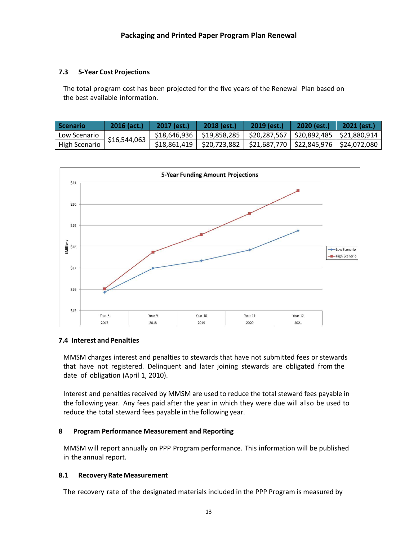## **7.3 5-Year Cost Projections**

The total program cost has been projected for the five years of the Renewal Plan based on the best available information.

| <b>Scenario</b> | $2016$ (act.) | $2017$ (est.) | $2018$ (est.)                                                                 | $2019$ (est.) | $2020$ (est.) | $2021$ (est.) |
|-----------------|---------------|---------------|-------------------------------------------------------------------------------|---------------|---------------|---------------|
| Low Scenario    | \$16,544,063  |               | $$18,646,936$   $$19,858,285$   $$20,287,567$   $$20,892,485$   $$21,880,914$ |               |               |               |
| High Scenario   |               |               | $$18,861,419$   $$20,723,882$   $$21,687,770$   $$22,845,976$   $$24,072,080$ |               |               |               |



#### **7.4 Interest and Penalties**

MMSM charges interest and penalties to stewards that have not submitted fees or stewards that have not registered. Delinquent and later joining stewards are obligated from the date of obligation (April 1, 2010).

Interest and penalties received by MMSM are used to reduce the total steward fees payable in the following year. Any fees paid after the year in which they were due will also be used to reduce the total steward fees payable in the following year.

#### **8 Program Performance Measurement and Reporting**

MMSM will report annually on PPP Program performance. This information will be published in the annual report.

#### **8.1 Recovery Rate Measurement**

The recovery rate of the designated materials included in the PPP Program is measured by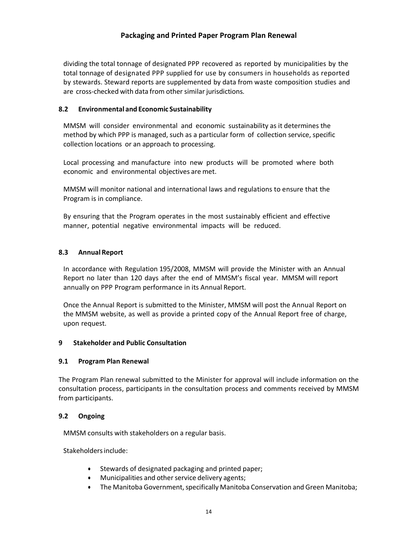dividing the total tonnage of designated PPP recovered as reported by municipalities by the total tonnage of designated PPP supplied for use by consumers in households as reported by stewards. Steward reports are supplemented by data from waste composition studies and are cross-checked with data from other similar jurisdictions.

#### **8.2 Environmental and Economic Sustainability**

MMSM will consider environmental and economic sustainability as it determines the method by which PPP is managed, such as a particular form of collection service, specific collection locations or an approach to processing.

Local processing and manufacture into new products will be promoted where both economic and environmental objectives are met.

MMSM will monitor national and international laws and regulations to ensure that the Program is in compliance.

By ensuring that the Program operates in the most sustainably efficient and effective manner, potential negative environmental impacts will be reduced.

#### **8.3 Annual Report**

In accordance with Regulation 195/2008, MMSM will provide the Minister with an Annual Report no later than 120 days after the end of MMSM's fiscal year. MMSM will report annually on PPP Program performance in its Annual Report.

Once the Annual Report is submitted to the Minister, MMSM will post the Annual Report on the MMSM website, as well as provide a printed copy of the Annual Report free of charge, upon request.

#### **9 Stakeholder and Public Consultation**

#### **9.1 Program Plan Renewal**

The Program Plan renewal submitted to the Minister for approval will include information on the consultation process, participants in the consultation process and comments received by MMSM from participants.

#### **9.2 Ongoing**

MMSM consults with stakeholders on a regular basis.

Stakeholdersinclude:

- Stewards of designated packaging and printed paper;
- Municipalities and other service delivery agents;
- The Manitoba Government, specifically Manitoba Conservation and Green Manitoba;